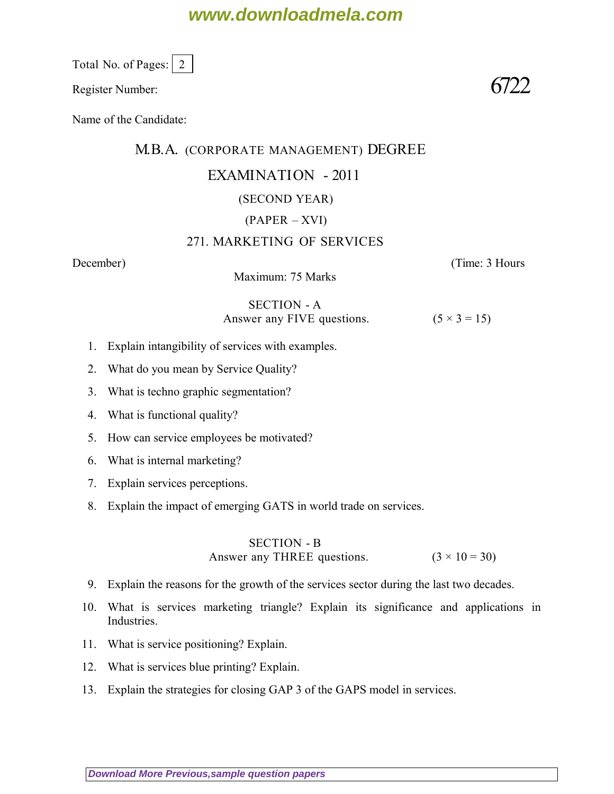# **www.downloadmela.com**

Total No. of Pages: 2

Register Number:  $6722$ 

Name of the Candidate:

## M.B.A. (CORPORATE MANAGEMENT) DEGREE

## EXAMINATION - 2011

## (SECOND YEAR)

## (PAPER – XVI)

## 271. MARKETING OF SERVICES

*December*) (*Time: 3 Hours*

Maximum: 75 Marks

#### SECTION - A Answer any FIVE questions.  $(5 \times 3 = 15)$

- 1. Explain intangibility of services with examples.
- 2. What do you mean by Service Quality?
- 3. What is techno graphic segmentation?
- 4. What is functional quality?
- 5. How can service employees be motivated?
- 6. What is internal marketing?
- 7. Explain services perceptions.
- 8. Explain the impact of emerging GATS in world trade on services.

## SECTION - B Answer any THREE questions.  $(3 \times 10 = 30)$

- 9. Explain the reasons for the growth of the services sector during the last two decades.
- 10. What is services marketing triangle? Explain its significance and applications in Industries.
- 11. What is service positioning? Explain.
- 12. What is services blue printing? Explain.
- 13. Explain the strategies for closing GAP 3 of the GAPS model in services.